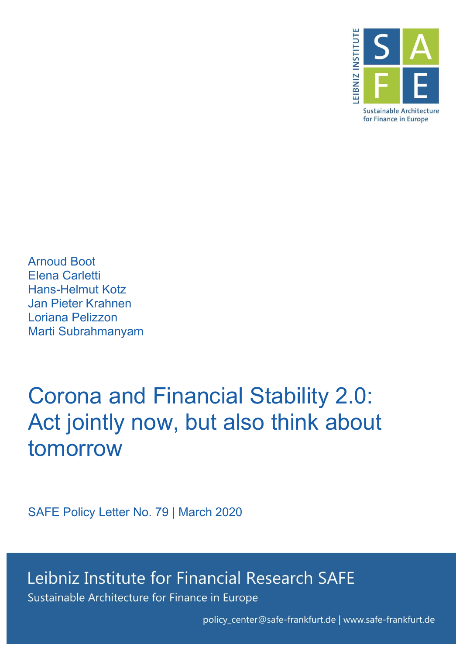

Arnoud Boot Elena Carletti Hans-Helmut Kotz Jan Pieter Krahnen Loriana Pelizzon Marti Subrahmanyam

# Corona and Financial Stability 2.0: Act jointly now, but also think about tomorrow

SAFE Policy Letter No. 79 | March 2020

Leibniz Institute for Financial Research SAFE Sustainable Architecture for Finance in Europe

policy\_center@safe-frankfurt.de | www.safe-frankfurt.de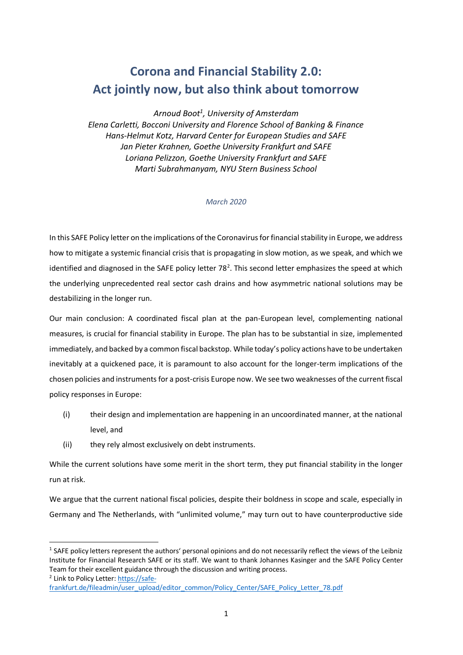## **Corona and Financial Stability 2.0: Act jointly now, but also think about tomorrow**

*Arnoud Boot1 , University of Amsterdam Elena Carletti, Bocconi University and Florence School of Banking & Finance Hans-Helmut Kotz, Harvard Center for European Studies and SAFE Jan Pieter Krahnen, Goethe University Frankfurt and SAFE Loriana Pelizzon, Goethe University Frankfurt and SAFE Marti Subrahmanyam, NYU Stern Business School* 

#### *March 2020*

In this SAFE Policy letter on the implications of the Coronavirus for financial stability in Europe, we address how to mitigate a systemic financial crisis that is propagating in slow motion, as we speak, and which we identified and diagnosed in the SAFE policy letter 78<sup>2</sup>. This second letter emphasizes the speed at which the underlying unprecedented real sector cash drains and how asymmetric national solutions may be destabilizing in the longer run.

Our main conclusion: A coordinated fiscal plan at the pan-European level, complementing national measures, is crucial for financial stability in Europe. The plan has to be substantial in size, implemented immediately, and backed by a common fiscal backstop. While today's policy actions have to be undertaken inevitably at a quickened pace, it is paramount to also account for the longer-term implications of the chosen policies and instruments for a post-crisis Europe now. We see two weaknesses of the current fiscal policy responses in Europe:

- (i) their design and implementation are happening in an uncoordinated manner, at the national level, and
- (ii) they rely almost exclusively on debt instruments.

While the current solutions have some merit in the short term, they put financial stability in the longer run at risk.

We argue that the current national fiscal policies, despite their boldness in scope and scale, especially in Germany and The Netherlands, with "unlimited volume," may turn out to have counterproductive side

 $1$  SAFE policy letters represent the authors' personal opinions and do not necessarily reflect the views of the Leibniz Institute for Financial Research SAFE or its staff. We want to thank Johannes Kasinger and the SAFE Policy Center Team for their excellent guidance through the discussion and writing process.

<sup>2</sup> Link to Policy Letter: https://safe-

frankfurt.de/fileadmin/user\_upload/editor\_common/Policy\_Center/SAFE\_Policy\_Letter\_78.pdf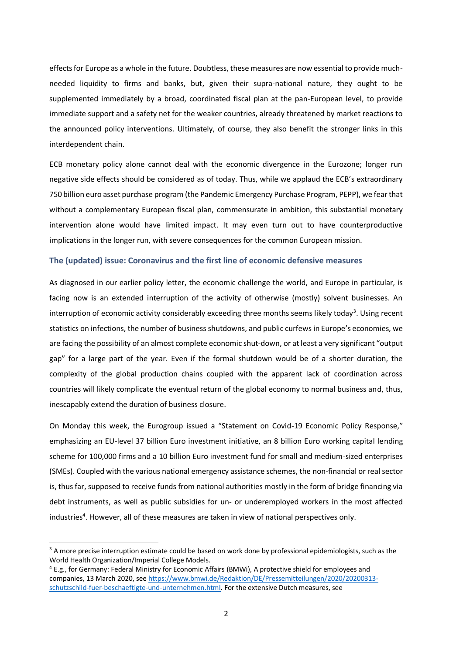effects for Europe as a whole in the future. Doubtless, these measures are now essential to provide muchneeded liquidity to firms and banks, but, given their supra-national nature, they ought to be supplemented immediately by a broad, coordinated fiscal plan at the pan-European level, to provide immediate support and a safety net for the weaker countries, already threatened by market reactions to the announced policy interventions. Ultimately, of course, they also benefit the stronger links in this interdependent chain.

ECB monetary policy alone cannot deal with the economic divergence in the Eurozone; longer run negative side effects should be considered as of today. Thus, while we applaud the ECB's extraordinary 750 billion euro asset purchase program (the Pandemic Emergency Purchase Program, PEPP), we fear that without a complementary European fiscal plan, commensurate in ambition, this substantial monetary intervention alone would have limited impact. It may even turn out to have counterproductive implications in the longer run, with severe consequences for the common European mission.

#### **The (updated) issue: Coronavirus and the first line of economic defensive measures**

As diagnosed in our earlier policy letter, the economic challenge the world, and Europe in particular, is facing now is an extended interruption of the activity of otherwise (mostly) solvent businesses. An interruption of economic activity considerably exceeding three months seems likely today<sup>3</sup>. Using recent statistics on infections, the number of business shutdowns, and public curfews in Europe's economies, we are facing the possibility of an almost complete economic shut-down, or at least a very significant "output gap" for a large part of the year. Even if the formal shutdown would be of a shorter duration, the complexity of the global production chains coupled with the apparent lack of coordination across countries will likely complicate the eventual return of the global economy to normal business and, thus, inescapably extend the duration of business closure.

On Monday this week, the Eurogroup issued a "Statement on Covid-19 Economic Policy Response," emphasizing an EU-level 37 billion Euro investment initiative, an 8 billion Euro working capital lending scheme for 100,000 firms and a 10 billion Euro investment fund for small and medium-sized enterprises (SMEs). Coupled with the various national emergency assistance schemes, the non-financial or real sector is, thus far, supposed to receive funds from national authorities mostly in the form of bridge financing via debt instruments, as well as public subsidies for un- or underemployed workers in the most affected industries<sup>4</sup>. However, all of these measures are taken in view of national perspectives only.

 $3$  A more precise interruption estimate could be based on work done by professional epidemiologists, such as the World Health Organization/Imperial College Models.

<sup>&</sup>lt;sup>4</sup> E.g., for Germany: Federal Ministry for Economic Affairs (BMWi), A protective shield for emplovees and companies, 13 March 2020, see https://www.bmwi.de/Redaktion/DE/Pressemitteilungen/2020/20200313 schutzschild-fuer-beschaeftigte-und-unternehmen.html. For the extensive Dutch measures, see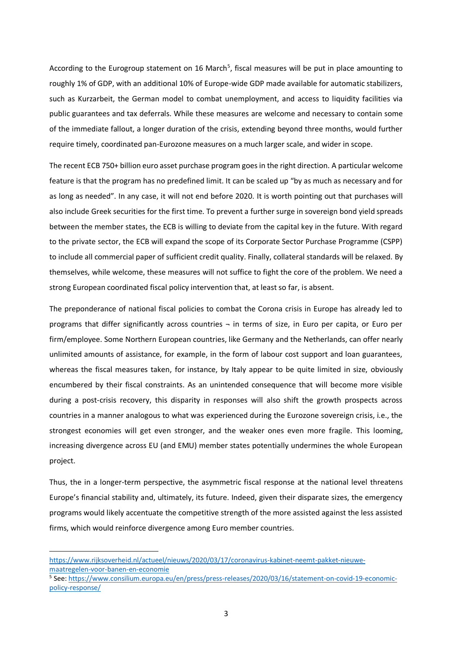According to the Eurogroup statement on 16 March<sup>5</sup>, fiscal measures will be put in place amounting to roughly 1% of GDP, with an additional 10% of Europe-wide GDP made available for automatic stabilizers, such as Kurzarbeit, the German model to combat unemployment, and access to liquidity facilities via public guarantees and tax deferrals. While these measures are welcome and necessary to contain some of the immediate fallout, a longer duration of the crisis, extending beyond three months, would further require timely, coordinated pan-Eurozone measures on a much larger scale, and wider in scope.

The recent ECB 750+ billion euro asset purchase program goes in the right direction. A particular welcome feature is that the program has no predefined limit. It can be scaled up "by as much as necessary and for as long as needed". In any case, it will not end before 2020. It is worth pointing out that purchases will also include Greek securities for the first time. To prevent a further surge in sovereign bond yield spreads between the member states, the ECB is willing to deviate from the capital key in the future. With regard to the private sector, the ECB will expand the scope of its Corporate Sector Purchase Programme (CSPP) to include all commercial paper of sufficient credit quality. Finally, collateral standards will be relaxed. By themselves, while welcome, these measures will not suffice to fight the core of the problem. We need a strong European coordinated fiscal policy intervention that, at least so far, is absent.

The preponderance of national fiscal policies to combat the Corona crisis in Europe has already led to programs that differ significantly across countries ¬ in terms of size, in Euro per capita, or Euro per firm/employee. Some Northern European countries, like Germany and the Netherlands, can offer nearly unlimited amounts of assistance, for example, in the form of labour cost support and loan guarantees, whereas the fiscal measures taken, for instance, by Italy appear to be quite limited in size, obviously encumbered by their fiscal constraints. As an unintended consequence that will become more visible during a post-crisis recovery, this disparity in responses will also shift the growth prospects across countries in a manner analogous to what was experienced during the Eurozone sovereign crisis, i.e., the strongest economies will get even stronger, and the weaker ones even more fragile. This looming, increasing divergence across EU (and EMU) member states potentially undermines the whole European project.

Thus, the in a longer-term perspective, the asymmetric fiscal response at the national level threatens Europe's financial stability and, ultimately, its future. Indeed, given their disparate sizes, the emergency programs would likely accentuate the competitive strength of the more assisted against the less assisted firms, which would reinforce divergence among Euro member countries.

https://www.rijksoverheid.nl/actueel/nieuws/2020/03/17/coronavirus-kabinet-neemt-pakket-nieuwemaatregelen-voor-banen-en-economie

<sup>5</sup> See: https://www.consilium.europa.eu/en/press/press-releases/2020/03/16/statement-on-covid-19-economicpolicy-response/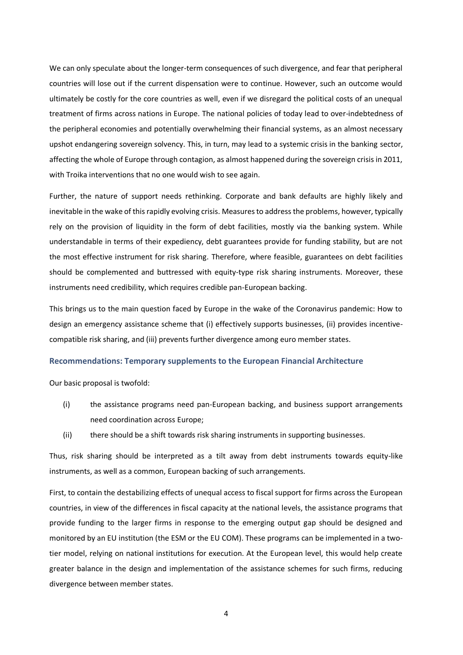We can only speculate about the longer-term consequences of such divergence, and fear that peripheral countries will lose out if the current dispensation were to continue. However, such an outcome would ultimately be costly for the core countries as well, even if we disregard the political costs of an unequal treatment of firms across nations in Europe. The national policies of today lead to over-indebtedness of the peripheral economies and potentially overwhelming their financial systems, as an almost necessary upshot endangering sovereign solvency. This, in turn, may lead to a systemic crisis in the banking sector, affecting the whole of Europe through contagion, as almost happened during the sovereign crisis in 2011, with Troika interventions that no one would wish to see again.

Further, the nature of support needs rethinking. Corporate and bank defaults are highly likely and inevitable in the wake of this rapidly evolving crisis. Measures to address the problems, however, typically rely on the provision of liquidity in the form of debt facilities, mostly via the banking system. While understandable in terms of their expediency, debt guarantees provide for funding stability, but are not the most effective instrument for risk sharing. Therefore, where feasible, guarantees on debt facilities should be complemented and buttressed with equity-type risk sharing instruments. Moreover, these instruments need credibility, which requires credible pan-European backing.

This brings us to the main question faced by Europe in the wake of the Coronavirus pandemic: How to design an emergency assistance scheme that (i) effectively supports businesses, (ii) provides incentivecompatible risk sharing, and (iii) prevents further divergence among euro member states.

### **Recommendations: Temporary supplements to the European Financial Architecture**

Our basic proposal is twofold:

- (i) the assistance programs need pan-European backing, and business support arrangements need coordination across Europe;
- (ii) there should be a shift towards risk sharing instruments in supporting businesses.

Thus, risk sharing should be interpreted as a tilt away from debt instruments towards equity-like instruments, as well as a common, European backing of such arrangements.

First, to contain the destabilizing effects of unequal access to fiscal support for firms across the European countries, in view of the differences in fiscal capacity at the national levels, the assistance programs that provide funding to the larger firms in response to the emerging output gap should be designed and monitored by an EU institution (the ESM or the EU COM). These programs can be implemented in a twotier model, relying on national institutions for execution. At the European level, this would help create greater balance in the design and implementation of the assistance schemes for such firms, reducing divergence between member states.

4